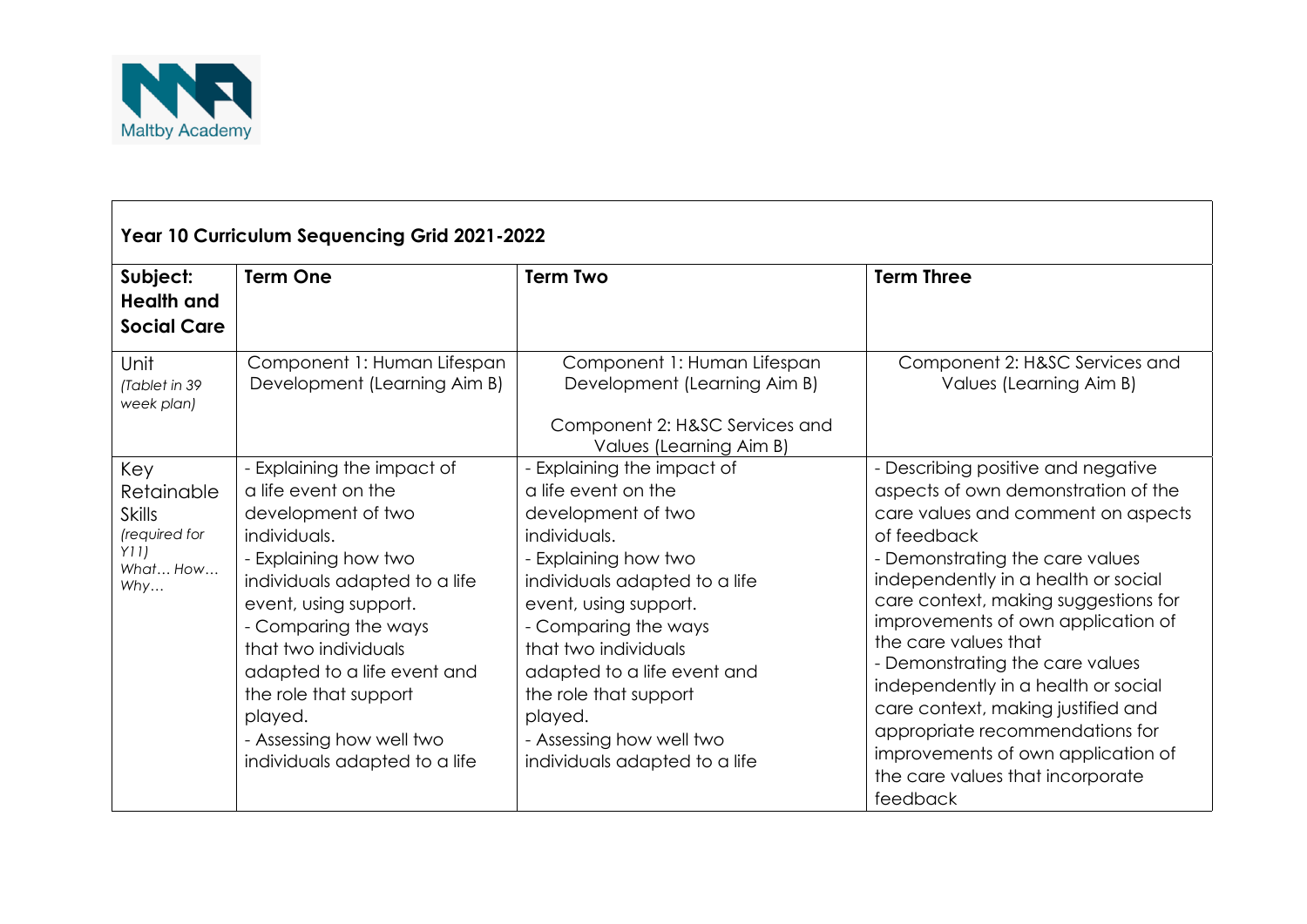

| Year 10 Curriculum Sequencing Grid 2021-2022                                  |                                                                                                                                                                                                                                                                                                                                                           |                                                                                                                                                                                                                                                                                                                                                         |                                                                                                                                                                                                                                                                                                                                                                                                                                                                                                                                                         |  |  |  |
|-------------------------------------------------------------------------------|-----------------------------------------------------------------------------------------------------------------------------------------------------------------------------------------------------------------------------------------------------------------------------------------------------------------------------------------------------------|---------------------------------------------------------------------------------------------------------------------------------------------------------------------------------------------------------------------------------------------------------------------------------------------------------------------------------------------------------|---------------------------------------------------------------------------------------------------------------------------------------------------------------------------------------------------------------------------------------------------------------------------------------------------------------------------------------------------------------------------------------------------------------------------------------------------------------------------------------------------------------------------------------------------------|--|--|--|
| Subject:<br><b>Health and</b><br><b>Social Care</b>                           | <b>Term One</b>                                                                                                                                                                                                                                                                                                                                           | <b>Term Two</b>                                                                                                                                                                                                                                                                                                                                         | <b>Term Three</b>                                                                                                                                                                                                                                                                                                                                                                                                                                                                                                                                       |  |  |  |
| Unit<br>(Tablet in 39<br>week plan)                                           | Component 1: Human Lifespan<br>Development (Learning Aim B)                                                                                                                                                                                                                                                                                               | Component 1: Human Lifespan<br>Development (Learning Aim B)<br>Component 2: H&SC Services and<br>Values (Learning Aim B)                                                                                                                                                                                                                                | Component 2: H&SC Services and<br>Values (Learning Aim B)                                                                                                                                                                                                                                                                                                                                                                                                                                                                                               |  |  |  |
| Key<br>Retainable<br><b>Skills</b><br>(required for<br>Y11<br>What How<br>Why | - Explaining the impact of<br>a life event on the<br>development of two<br>individuals.<br>- Explaining how two<br>individuals adapted to a life<br>event, using support.<br>- Comparing the ways<br>that two individuals<br>adapted to a life event and<br>the role that support<br>played.<br>- Assessing how well two<br>individuals adapted to a life | Explaining the impact of<br>a life event on the<br>development of two<br>individuals.<br>- Explaining how two<br>individuals adapted to a life<br>event, using support.<br>- Comparing the ways<br>that two individuals<br>adapted to a life event and<br>the role that support<br>played.<br>- Assessing how well two<br>individuals adapted to a life | - Describing positive and negative<br>aspects of own demonstration of the<br>care values and comment on aspects<br>of feedback<br>- Demonstrating the care values<br>independently in a health or social<br>care context, making suggestions for<br>improvements of own application of<br>the care values that<br>- Demonstrating the care values<br>independently in a health or social<br>care context, making justified and<br>appropriate recommendations for<br>improvements of own application of<br>the care values that incorporate<br>feedback |  |  |  |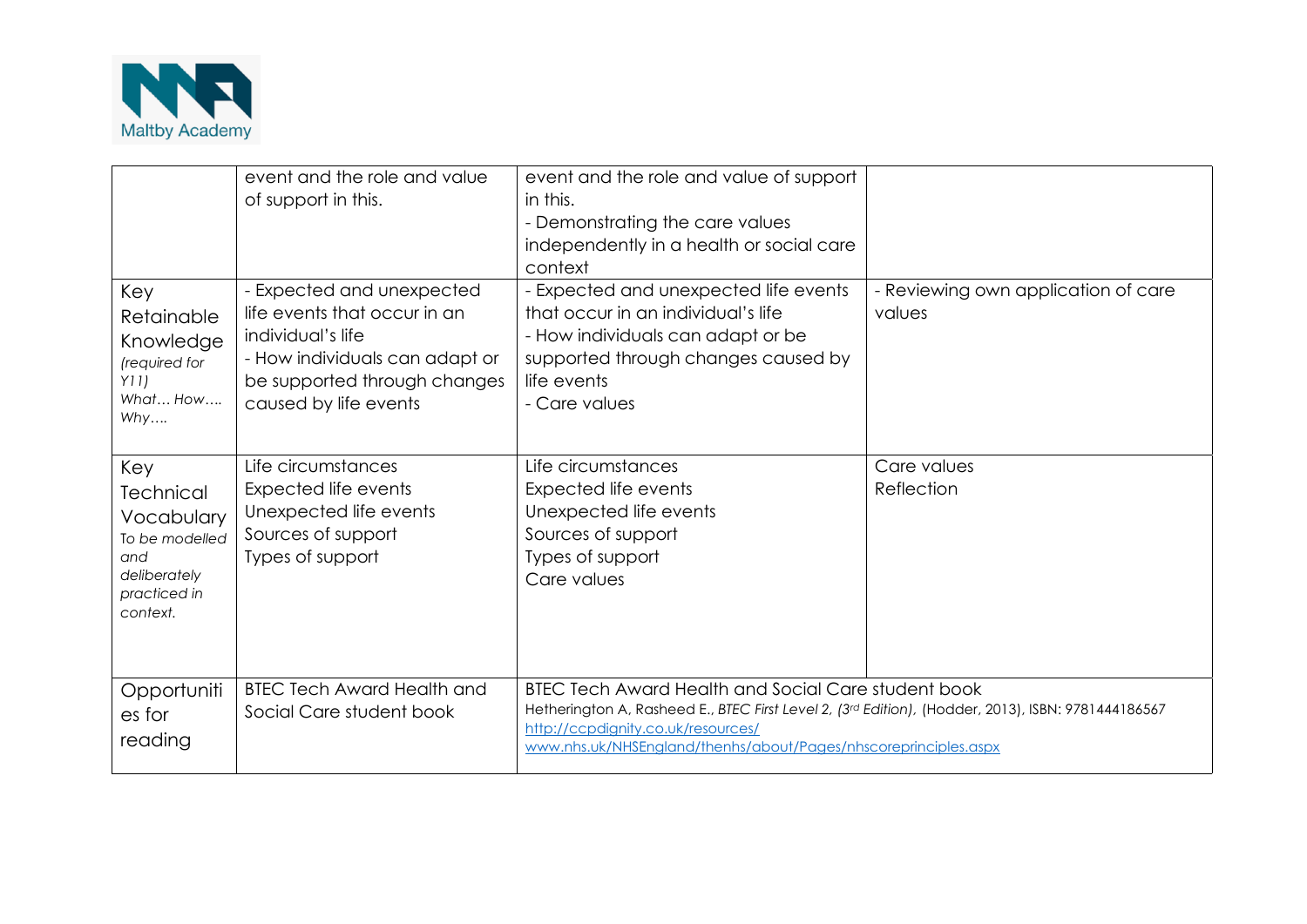

|                                                                                                     | event and the role and value<br>of support in this.                                                                                                                       | event and the role and value of support<br>in this.<br>- Demonstrating the care values<br>independently in a health or social care<br>context                                                                                                                             |                                               |
|-----------------------------------------------------------------------------------------------------|---------------------------------------------------------------------------------------------------------------------------------------------------------------------------|---------------------------------------------------------------------------------------------------------------------------------------------------------------------------------------------------------------------------------------------------------------------------|-----------------------------------------------|
| Key<br>Retainable<br>Knowledge<br>(required for<br>Y11)<br>What How<br>Why                          | - Expected and unexpected<br>life events that occur in an<br>individual's life<br>- How individuals can adapt or<br>be supported through changes<br>caused by life events | - Expected and unexpected life events<br>that occur in an individual's life<br>- How individuals can adapt or be<br>supported through changes caused by<br>life events<br>- Care values                                                                                   | - Reviewing own application of care<br>values |
| Key<br>Technical<br>Vocabulary<br>To be modelled<br>and<br>deliberately<br>practiced in<br>context. | Life circumstances<br>Expected life events<br>Unexpected life events<br>Sources of support<br>Types of support                                                            | Life circumstances<br>Expected life events<br>Unexpected life events<br>Sources of support<br>Types of support<br>Care values                                                                                                                                             | Care values<br>Reflection                     |
| Opportuniti<br>es for<br>reading                                                                    | <b>BTEC Tech Award Health and</b><br>Social Care student book                                                                                                             | <b>BTEC Tech Award Health and Social Care student book</b><br>Hetherington A, Rasheed E., BTEC First Level 2, (3rd Edition), (Hodder, 2013), ISBN: 9781444186567<br>http://ccpdignity.co.uk/resources/<br>www.nhs.uk/NHSEngland/thenhs/about/Pages/nhscoreprinciples.aspx |                                               |